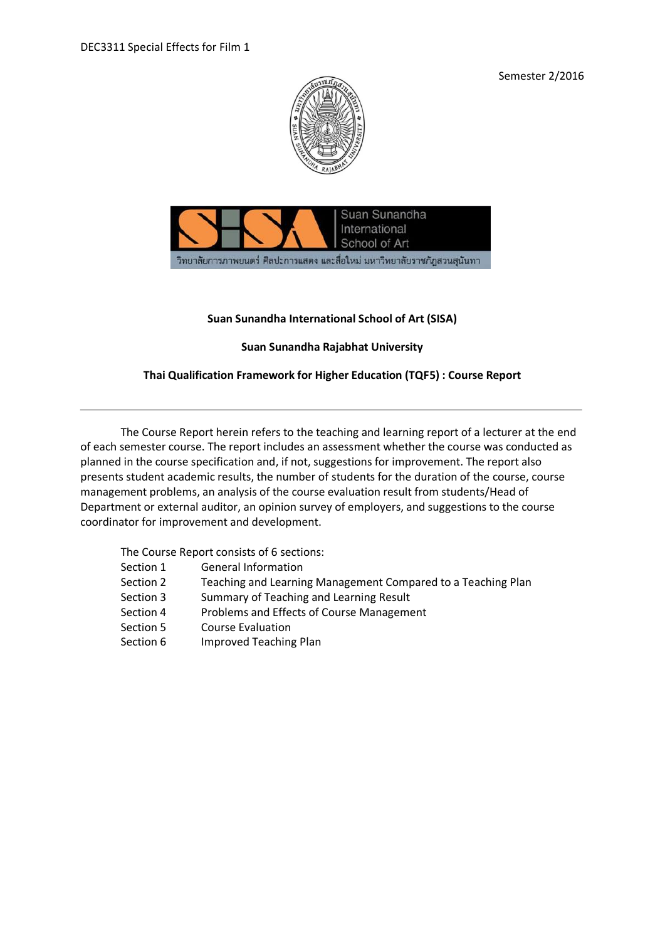Semester 2/2016





# **Suan Sunandha International School of Art (SISA)**

# **Suan Sunandha Rajabhat University**

# **Thai Qualification Framework for Higher Education (TQF5) : Course Report**

The Course Report herein refers to the teaching and learning report of a lecturer at the end of each semester course. The report includes an assessment whether the course was conducted as planned in the course specification and, if not, suggestions for improvement. The report also presents student academic results, the number of students for the duration of the course, course management problems, an analysis of the course evaluation result from students/Head of Department or external auditor, an opinion survey of employers, and suggestions to the course coordinator for improvement and development.

The Course Report consists of 6 sections:

- Section 1 General Information
- Section 2 Teaching and Learning Management Compared to a Teaching Plan
- Section 3 Summary of Teaching and Learning Result
- Section 4 Problems and Effects of Course Management
- Section 5 Course Evaluation
- Section 6 Improved Teaching Plan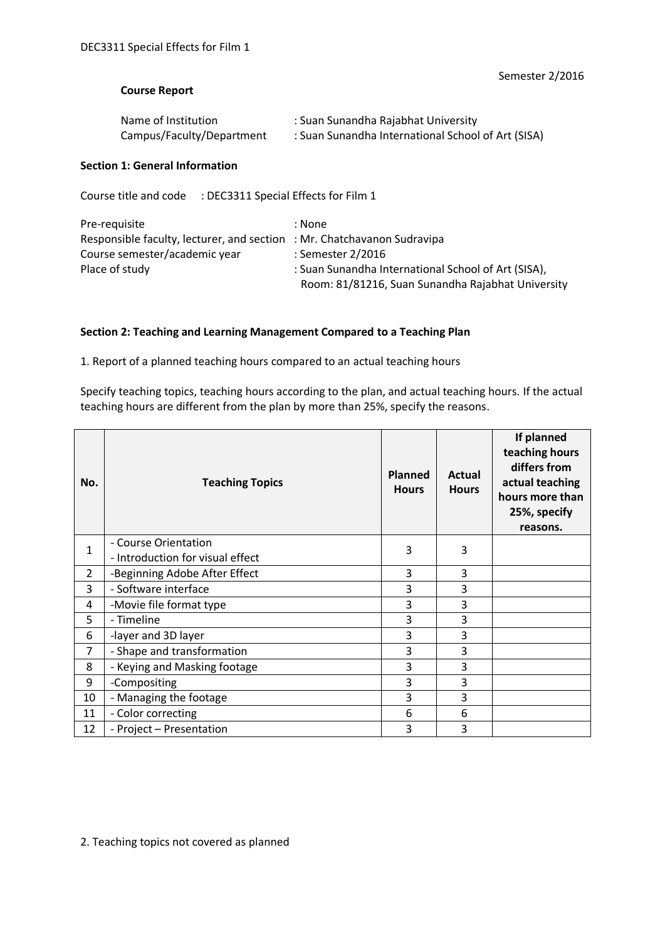#### **Course Report**

| Name of Institution       | : Suan Sunandha Rajabhat University                |
|---------------------------|----------------------------------------------------|
| Campus/Faculty/Department | : Suan Sunandha International School of Art (SISA) |

## **Section 1: General Information**

Course title and code : DEC3311 Special Effects for Film 1

| Pre-requisite                                                           | : None                                              |
|-------------------------------------------------------------------------|-----------------------------------------------------|
| Responsible faculty, lecturer, and section : Mr. Chatchavanon Sudravipa |                                                     |
| Course semester/academic year                                           | : Semester 2/2016                                   |
| Place of study                                                          | : Suan Sunandha International School of Art (SISA), |
|                                                                         | Room: 81/81216, Suan Sunandha Rajabhat University   |

#### **Section 2: Teaching and Learning Management Compared to a Teaching Plan**

1. Report of a planned teaching hours compared to an actual teaching hours

Specify teaching topics, teaching hours according to the plan, and actual teaching hours. If the actual teaching hours are different from the plan by more than 25%, specify the reasons.

| No.            | <b>Teaching Topics</b>           | <b>Planned</b><br><b>Hours</b> | <b>Actual</b><br><b>Hours</b> | If planned<br>teaching hours<br>differs from<br>actual teaching<br>hours more than<br>25%, specify<br>reasons. |
|----------------|----------------------------------|--------------------------------|-------------------------------|----------------------------------------------------------------------------------------------------------------|
| $\mathbf{1}$   | - Course Orientation             | 3                              | 3                             |                                                                                                                |
|                | - Introduction for visual effect |                                |                               |                                                                                                                |
| $\overline{2}$ | -Beginning Adobe After Effect    | 3                              | 3                             |                                                                                                                |
| 3              | - Software interface             | 3                              | 3                             |                                                                                                                |
| 4              | -Movie file format type          | 3                              | 3                             |                                                                                                                |
| 5              | - Timeline                       | 3                              | 3                             |                                                                                                                |
| 6              | -layer and 3D layer              | 3                              | 3                             |                                                                                                                |
| $\overline{7}$ | - Shape and transformation       | 3                              | 3                             |                                                                                                                |
| 8              | - Keying and Masking footage     | 3                              | 3                             |                                                                                                                |
| 9              | -Compositing                     | 3                              | 3                             |                                                                                                                |
| 10             | - Managing the footage           | 3                              | 3                             |                                                                                                                |
| 11             | - Color correcting               | 6                              | 6                             |                                                                                                                |
| 12             | - Project - Presentation         | 3                              | 3                             |                                                                                                                |

2. Teaching topics not covered as planned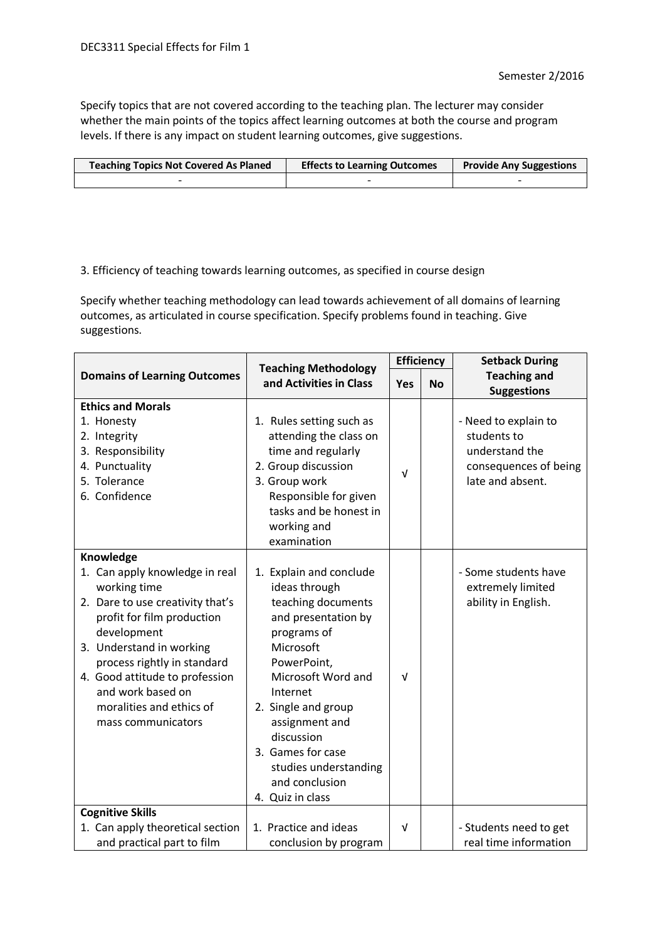Specify topics that are not covered according to the teaching plan. The lecturer may consider whether the main points of the topics affect learning outcomes at both the course and program levels. If there is any impact on student learning outcomes, give suggestions.

| <b>Teaching Topics Not Covered As Planed</b> | <b>Effects to Learning Outcomes</b> | <b>Provide Any Suggestions</b> |
|----------------------------------------------|-------------------------------------|--------------------------------|
|                                              |                                     |                                |

# 3. Efficiency of teaching towards learning outcomes, as specified in course design

Specify whether teaching methodology can lead towards achievement of all domains of learning outcomes, as articulated in course specification. Specify problems found in teaching. Give suggestions.

|                                                                                                                                                                                                                                                                                                                  | <b>Teaching Methodology</b>                                                                                                                                                                                                                                                                                   | <b>Efficiency</b> |           | <b>Setback During</b>                                                                              |
|------------------------------------------------------------------------------------------------------------------------------------------------------------------------------------------------------------------------------------------------------------------------------------------------------------------|---------------------------------------------------------------------------------------------------------------------------------------------------------------------------------------------------------------------------------------------------------------------------------------------------------------|-------------------|-----------|----------------------------------------------------------------------------------------------------|
| <b>Domains of Learning Outcomes</b>                                                                                                                                                                                                                                                                              | and Activities in Class                                                                                                                                                                                                                                                                                       | <b>Yes</b>        | <b>No</b> | <b>Teaching and</b><br><b>Suggestions</b>                                                          |
| <b>Ethics and Morals</b><br>1. Honesty<br>2. Integrity<br>3. Responsibility<br>4. Punctuality<br>5. Tolerance<br>6. Confidence                                                                                                                                                                                   | 1. Rules setting such as<br>attending the class on<br>time and regularly<br>2. Group discussion<br>3. Group work<br>Responsible for given<br>tasks and be honest in<br>working and<br>examination                                                                                                             | $\sqrt{ }$        |           | - Need to explain to<br>students to<br>understand the<br>consequences of being<br>late and absent. |
| Knowledge<br>1. Can apply knowledge in real<br>working time<br>2. Dare to use creativity that's<br>profit for film production<br>development<br>3. Understand in working<br>process rightly in standard<br>4. Good attitude to profession<br>and work based on<br>moralities and ethics of<br>mass communicators | 1. Explain and conclude<br>ideas through<br>teaching documents<br>and presentation by<br>programs of<br>Microsoft<br>PowerPoint,<br>Microsoft Word and<br>Internet<br>2. Single and group<br>assignment and<br>discussion<br>3. Games for case<br>studies understanding<br>and conclusion<br>4. Quiz in class | V                 |           | - Some students have<br>extremely limited<br>ability in English.                                   |
| <b>Cognitive Skills</b><br>1. Can apply theoretical section<br>and practical part to film                                                                                                                                                                                                                        | 1. Practice and ideas<br>conclusion by program                                                                                                                                                                                                                                                                | $\sqrt{ }$        |           | - Students need to get<br>real time information                                                    |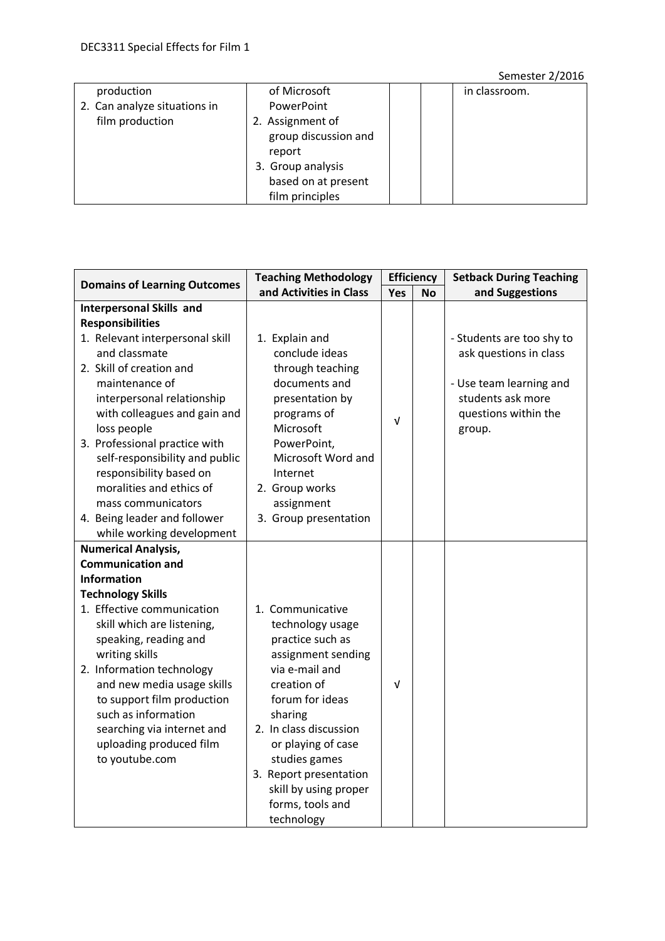# Semester 2/2016

| production                   | of Microsoft         | in classroom. |
|------------------------------|----------------------|---------------|
| 2. Can analyze situations in | PowerPoint           |               |
| film production              | 2. Assignment of     |               |
|                              | group discussion and |               |
|                              | report               |               |
|                              | 3. Group analysis    |               |
|                              | based on at present  |               |
|                              | film principles      |               |

| <b>Domains of Learning Outcomes</b>                       | <b>Teaching Methodology</b>       |            | <b>Efficiency</b> | <b>Setback During Teaching</b> |
|-----------------------------------------------------------|-----------------------------------|------------|-------------------|--------------------------------|
|                                                           | and Activities in Class           | Yes        | <b>No</b>         | and Suggestions                |
| <b>Interpersonal Skills and</b>                           |                                   |            |                   |                                |
| <b>Responsibilities</b>                                   |                                   |            |                   |                                |
| 1. Relevant interpersonal skill                           | 1. Explain and                    |            |                   | - Students are too shy to      |
| and classmate                                             | conclude ideas                    |            |                   | ask questions in class         |
| 2. Skill of creation and                                  | through teaching                  |            |                   |                                |
| maintenance of                                            | documents and                     |            |                   | - Use team learning and        |
| interpersonal relationship                                | presentation by                   |            |                   | students ask more              |
| with colleagues and gain and                              | programs of                       | V          |                   | questions within the           |
| loss people                                               | Microsoft                         |            |                   | group.                         |
| 3. Professional practice with                             | PowerPoint,<br>Microsoft Word and |            |                   |                                |
| self-responsibility and public<br>responsibility based on | Internet                          |            |                   |                                |
| moralities and ethics of                                  | 2. Group works                    |            |                   |                                |
| mass communicators                                        | assignment                        |            |                   |                                |
| 4. Being leader and follower                              | 3. Group presentation             |            |                   |                                |
| while working development                                 |                                   |            |                   |                                |
| <b>Numerical Analysis,</b>                                |                                   |            |                   |                                |
| <b>Communication and</b>                                  |                                   |            |                   |                                |
| <b>Information</b>                                        |                                   |            |                   |                                |
| <b>Technology Skills</b>                                  |                                   |            |                   |                                |
| 1. Effective communication                                | 1. Communicative                  |            |                   |                                |
| skill which are listening,                                | technology usage                  |            |                   |                                |
| speaking, reading and                                     | practice such as                  |            |                   |                                |
| writing skills                                            | assignment sending                |            |                   |                                |
| 2. Information technology                                 | via e-mail and                    |            |                   |                                |
| and new media usage skills                                | creation of                       | $\sqrt{ }$ |                   |                                |
| to support film production                                | forum for ideas                   |            |                   |                                |
| such as information                                       | sharing                           |            |                   |                                |
| searching via internet and                                | 2. In class discussion            |            |                   |                                |
| uploading produced film                                   | or playing of case                |            |                   |                                |
| to youtube.com                                            | studies games                     |            |                   |                                |
|                                                           | 3. Report presentation            |            |                   |                                |
|                                                           | skill by using proper             |            |                   |                                |
|                                                           | forms, tools and<br>technology    |            |                   |                                |
|                                                           |                                   |            |                   |                                |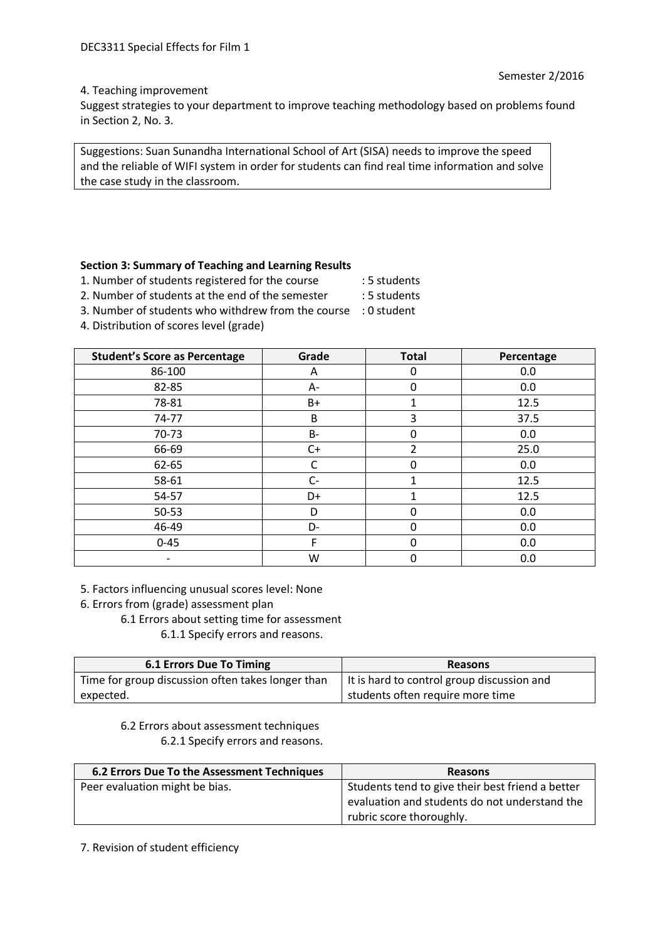#### 4. Teaching improvement

Suggest strategies to your department to improve teaching methodology based on problems found in Section 2, No. 3.

Suggestions: Suan Sunandha International School of Art (SISA) needs to improve the speed and the reliable of WIFI system in order for students can find real time information and solve the case study in the classroom.

# **Section 3: Summary of Teaching and Learning Results**

1. Number of students registered for the course : 5 students

- 
- 2. Number of students at the end of the semester : 5 students 3. Number of students who withdrew from the course : 0 student
- 4. Distribution of scores level (grade)

| <b>Student's Score as Percentage</b> | Grade | <b>Total</b>   | Percentage |
|--------------------------------------|-------|----------------|------------|
| 86-100                               | Α     | 0              | 0.0        |
| 82-85                                | А-    | 0              | 0.0        |
| 78-81                                | B+    | 1              | 12.5       |
| 74-77                                | B     | 3              | 37.5       |
| $70-73$                              | B-    | 0              | 0.0        |
| 66-69                                | $C+$  | $\overline{2}$ | 25.0       |
| 62-65                                | С     | 0              | 0.0        |
| 58-61                                | $C-$  |                | 12.5       |
| 54-57                                | D+    | 1              | 12.5       |
| $50 - 53$                            | D     | 0              | 0.0        |
| 46-49                                | D-    | 0              | 0.0        |
| $0 - 45$                             | F     | 0              | 0.0        |
|                                      | W     | 0              | 0.0        |

5. Factors influencing unusual scores level: None

6. Errors from (grade) assessment plan

```
6.1 Errors about setting time for assessment
```
6.1.1 Specify errors and reasons.

| <b>6.1 Errors Due To Timing</b>                   | <b>Reasons</b>                             |
|---------------------------------------------------|--------------------------------------------|
| Time for group discussion often takes longer than | It is hard to control group discussion and |
| expected.                                         | students often require more time           |

6.2 Errors about assessment techniques 6.2.1 Specify errors and reasons.

| 6.2 Errors Due To the Assessment Techniques | <b>Reasons</b>                                   |
|---------------------------------------------|--------------------------------------------------|
| Peer evaluation might be bias.              | Students tend to give their best friend a better |
|                                             | evaluation and students do not understand the    |
|                                             | rubric score thoroughly.                         |

7. Revision of student efficiency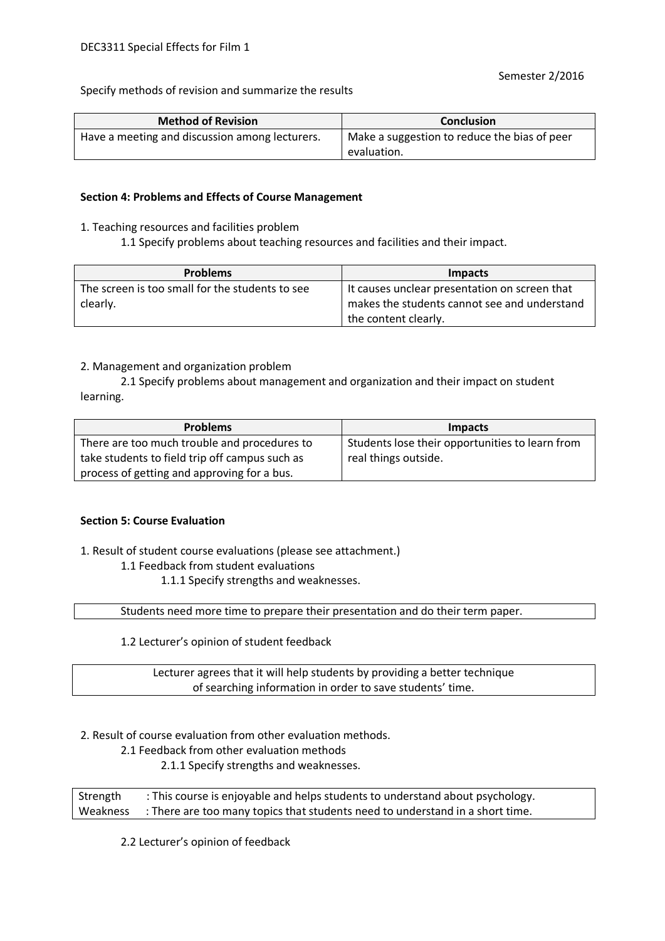Specify methods of revision and summarize the results

| <b>Method of Revision</b>                      | <b>Conclusion</b>                                           |
|------------------------------------------------|-------------------------------------------------------------|
| Have a meeting and discussion among lecturers. | Make a suggestion to reduce the bias of peer<br>evaluation. |

#### **Section 4: Problems and Effects of Course Management**

- 1. Teaching resources and facilities problem
	- 1.1 Specify problems about teaching resources and facilities and their impact.

| <b>Problems</b>                                 | <b>Impacts</b>                                |
|-------------------------------------------------|-----------------------------------------------|
| The screen is too small for the students to see | It causes unclear presentation on screen that |
| clearly.                                        | makes the students cannot see and understand  |
|                                                 | the content clearly.                          |

#### 2. Management and organization problem

2.1 Specify problems about management and organization and their impact on student learning.

| <b>Problems</b>                                | <b>Impacts</b>                                  |
|------------------------------------------------|-------------------------------------------------|
| There are too much trouble and procedures to   | Students lose their opportunities to learn from |
| take students to field trip off campus such as | real things outside.                            |
| process of getting and approving for a bus.    |                                                 |

#### **Section 5: Course Evaluation**

1. Result of student course evaluations (please see attachment.)

#### 1.1 Feedback from student evaluations

1.1.1 Specify strengths and weaknesses.

Students need more time to prepare their presentation and do their term paper.

1.2 Lecturer's opinion of student feedback

Lecturer agrees that it will help students by providing a better technique of searching information in order to save students' time.

2. Result of course evaluation from other evaluation methods.

2.1 Feedback from other evaluation methods

2.1.1 Specify strengths and weaknesses.

Strength : This course is enjoyable and helps students to understand about psychology. Weakness : There are too many topics that students need to understand in a short time.

2.2 Lecturer's opinion of feedback